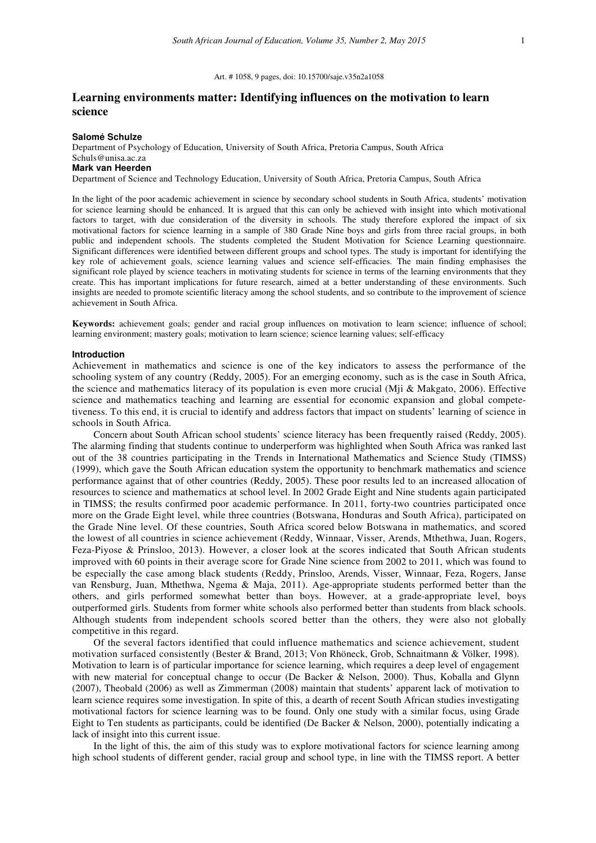# **Learning environments matter: Identifying influences on the motivation to learn science**

### **Salomé Schulze**

Department of Psychology of Education, University of South Africa, Pretoria Campus, South Africa Schuls@unisa.ac.za **Mark van Heerden** 

Department of Science and Technology Education, University of South Africa, Pretoria Campus, South Africa

In the light of the poor academic achievement in science by secondary school students in South Africa, students' motivation for science learning should be enhanced. It is argued that this can only be achieved with insight into which motivational factors to target, with due consideration of the diversity in schools. The study therefore explored the impact of six motivational factors for science learning in a sample of 380 Grade Nine boys and girls from three racial groups, in both public and independent schools. The students completed the Student Motivation for Science Learning questionnaire. Significant differences were identified between different groups and school types. The study is important for identifying the key role of achievement goals, science learning values and science self-efficacies. The main finding emphasises the significant role played by science teachers in motivating students for science in terms of the learning environments that they create. This has important implications for future research, aimed at a better understanding of these environments. Such insights are needed to promote scientific literacy among the school students, and so contribute to the improvement of science achievement in South Africa.

**Keywords:** achievement goals; gender and racial group influences on motivation to learn science; influence of school; learning environment; mastery goals; motivation to learn science; science learning values; self-efficacy

### **Introduction**

Achievement in mathematics and science is one of the key indicators to assess the performance of the schooling system of any country (Reddy, 2005). For an emerging economy, such as is the case in South Africa, the science and mathematics literacy of its population is even more crucial (Mji & Makgato, 2006). Effective science and mathematics teaching and learning are essential for economic expansion and global competetiveness. To this end, it is crucial to identify and address factors that impact on students' learning of science in schools in South Africa.

Concern about South African school students' science literacy has been frequently raised (Reddy, 2005). The alarming finding that students continue to underperform was highlighted when South Africa was ranked last out of the 38 countries participating in the Trends in International Mathematics and Science Study (TIMSS) (1999), which gave the South African education system the opportunity to benchmark mathematics and science performance against that of other countries (Reddy, 2005). These poor results led to an increased allocation of resources to science and mathematics at school level. In 2002 Grade Eight and Nine students again participated in TIMSS; the results confirmed poor academic performance. In 2011, forty-two countries participated once more on the Grade Eight level, while three countries (Botswana, Honduras and South Africa), participated on the Grade Nine level. Of these countries, South Africa scored below Botswana in mathematics, and scored the lowest of all countries in science achievement (Reddy, Winnaar, Visser, Arends, Mthethwa, Juan, Rogers, Feza-Piyose & Prinsloo, 2013). However, a closer look at the scores indicated that South African students improved with 60 points in their average score for Grade Nine science from 2002 to 2011, which was found to be especially the case among black students (Reddy, Prinsloo, Arends, Visser, Winnaar, Feza, Rogers, Janse van Rensburg, Juan, Mthethwa, Ngema & Maja, 2011). Age-appropriate students performed better than the others, and girls performed somewhat better than boys. However, at a grade-appropriate level, boys outperformed girls. Students from former white schools also performed better than students from black schools. Although students from independent schools scored better than the others, they were also not globally competitive in this regard.

Of the several factors identified that could influence mathematics and science achievement, student motivation surfaced consistently (Bester & Brand, 2013; Von Rhöneck, Grob, Schnaitmann & Völker, 1998). Motivation to learn is of particular importance for science learning, which requires a deep level of engagement with new material for conceptual change to occur (De Backer & Nelson, 2000). Thus, Koballa and Glynn (2007), Theobald (2006) as well as Zimmerman (2008) maintain that students' apparent lack of motivation to learn science requires some investigation. In spite of this, a dearth of recent South African studies investigating motivational factors for science learning was to be found. Only one study with a similar focus, using Grade Eight to Ten students as participants, could be identified (De Backer & Nelson, 2000), potentially indicating a lack of insight into this current issue.

In the light of this, the aim of this study was to explore motivational factors for science learning among high school students of different gender, racial group and school type, in line with the TIMSS report. A better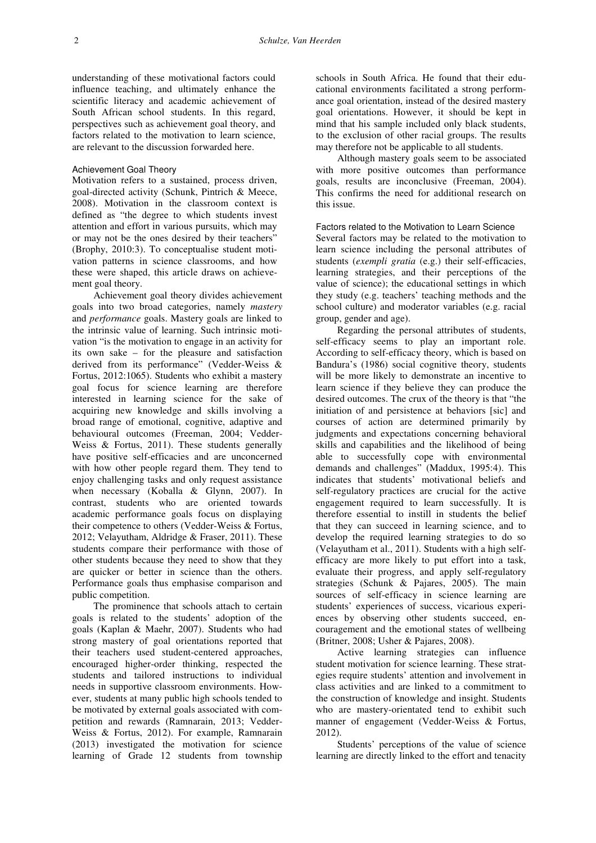understanding of these motivational factors could influence teaching, and ultimately enhance the scientific literacy and academic achievement of South African school students. In this regard, perspectives such as achievement goal theory, and factors related to the motivation to learn science, are relevant to the discussion forwarded here.

## Achievement Goal Theory

Motivation refers to a sustained, process driven, goal-directed activity (Schunk, Pintrich & Meece, 2008). Motivation in the classroom context is defined as "the degree to which students invest attention and effort in various pursuits, which may or may not be the ones desired by their teachers" (Brophy, 2010:3). To conceptualise student motivation patterns in science classrooms, and how these were shaped, this article draws on achievement goal theory.

Achievement goal theory divides achievement goals into two broad categories, namely *mastery* and *performance* goals. Mastery goals are linked to the intrinsic value of learning. Such intrinsic motivation "is the motivation to engage in an activity for its own sake – for the pleasure and satisfaction derived from its performance" (Vedder-Weiss & Fortus, 2012:1065). Students who exhibit a mastery goal focus for science learning are therefore interested in learning science for the sake of acquiring new knowledge and skills involving a broad range of emotional, cognitive, adaptive and behavioural outcomes (Freeman, 2004; Vedder-Weiss & Fortus, 2011). These students generally have positive self-efficacies and are unconcerned with how other people regard them. They tend to enjoy challenging tasks and only request assistance when necessary (Koballa & Glynn, 2007). In contrast, students who are oriented towards academic performance goals focus on displaying their competence to others (Vedder-Weiss & Fortus, 2012; Velayutham, Aldridge & Fraser, 2011). These students compare their performance with those of other students because they need to show that they are quicker or better in science than the others. Performance goals thus emphasise comparison and public competition.

The prominence that schools attach to certain goals is related to the students' adoption of the goals (Kaplan & Maehr, 2007). Students who had strong mastery of goal orientations reported that their teachers used student-centered approaches, encouraged higher-order thinking, respected the students and tailored instructions to individual needs in supportive classroom environments. However, students at many public high schools tended to be motivated by external goals associated with competition and rewards (Ramnarain, 2013; Vedder-Weiss & Fortus, 2012). For example, Ramnarain (2013) investigated the motivation for science learning of Grade 12 students from township schools in South Africa. He found that their educational environments facilitated a strong performance goal orientation, instead of the desired mastery goal orientations. However, it should be kept in mind that his sample included only black students, to the exclusion of other racial groups. The results may therefore not be applicable to all students.

Although mastery goals seem to be associated with more positive outcomes than performance goals, results are inconclusive (Freeman, 2004). This confirms the need for additional research on this issue.

### Factors related to the Motivation to Learn Science

Several factors may be related to the motivation to learn science including the personal attributes of students (*exempli gratia* (e.g.) their self-efficacies, learning strategies, and their perceptions of the value of science); the educational settings in which they study (e.g. teachers' teaching methods and the school culture) and moderator variables (e.g. racial group, gender and age).

Regarding the personal attributes of students, self-efficacy seems to play an important role. According to self-efficacy theory, which is based on Bandura's (1986) social cognitive theory, students will be more likely to demonstrate an incentive to learn science if they believe they can produce the desired outcomes. The crux of the theory is that "the initiation of and persistence at behaviors [sic] and courses of action are determined primarily by judgments and expectations concerning behavioral skills and capabilities and the likelihood of being able to successfully cope with environmental demands and challenges" (Maddux, 1995:4). This indicates that students' motivational beliefs and self-regulatory practices are crucial for the active engagement required to learn successfully. It is therefore essential to instill in students the belief that they can succeed in learning science, and to develop the required learning strategies to do so (Velayutham et al., 2011). Students with a high selfefficacy are more likely to put effort into a task, evaluate their progress, and apply self-regulatory strategies (Schunk & Pajares, 2005). The main sources of self-efficacy in science learning are students' experiences of success, vicarious experiences by observing other students succeed, encouragement and the emotional states of wellbeing (Britner, 2008; Usher & Pajares, 2008).

Active learning strategies can influence student motivation for science learning. These strategies require students' attention and involvement in class activities and are linked to a commitment to the construction of knowledge and insight. Students who are mastery-orientated tend to exhibit such manner of engagement (Vedder-Weiss & Fortus, 2012).

Students' perceptions of the value of science learning are directly linked to the effort and tenacity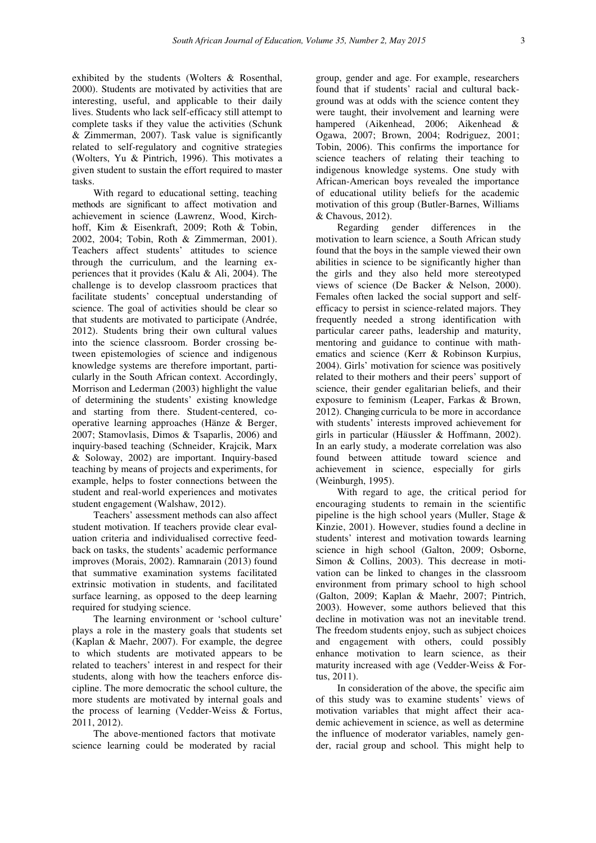exhibited by the students (Wolters & Rosenthal, 2000). Students are motivated by activities that are interesting, useful, and applicable to their daily lives. Students who lack self-efficacy still attempt to complete tasks if they value the activities (Schunk & Zimmerman, 2007). Task value is significantly related to self-regulatory and cognitive strategies (Wolters, Yu & Pintrich, 1996). This motivates a given student to sustain the effort required to master tasks.

With regard to educational setting, teaching methods are significant to affect motivation and achievement in science (Lawrenz, Wood, Kirchhoff, Kim & Eisenkraft, 2009; Roth & Tobin, 2002, 2004; Tobin, Roth & Zimmerman, 2001). Teachers affect students' attitudes to science through the curriculum, and the learning experiences that it provides (Kalu & Ali, 2004). The challenge is to develop classroom practices that facilitate students' conceptual understanding of science. The goal of activities should be clear so that students are motivated to participate (Andrée, 2012). Students bring their own cultural values into the science classroom. Border crossing between epistemologies of science and indigenous knowledge systems are therefore important, particularly in the South African context. Accordingly, Morrison and Lederman (2003) highlight the value of determining the students' existing knowledge and starting from there. Student-centered, cooperative learning approaches (Hänze & Berger, 2007; Stamovlasis, Dimos & Tsaparlis, 2006) and inquiry-based teaching (Schneider, Krajcik, Marx & Soloway, 2002) are important. Inquiry-based teaching by means of projects and experiments, for example, helps to foster connections between the student and real-world experiences and motivates student engagement (Walshaw, 2012).

Teachers' assessment methods can also affect student motivation. If teachers provide clear evaluation criteria and individualised corrective feedback on tasks, the students' academic performance improves (Morais, 2002). Ramnarain (2013) found that summative examination systems facilitated extrinsic motivation in students, and facilitated surface learning, as opposed to the deep learning required for studying science.

The learning environment or 'school culture' plays a role in the mastery goals that students set (Kaplan & Maehr, 2007). For example, the degree to which students are motivated appears to be related to teachers' interest in and respect for their students, along with how the teachers enforce discipline. The more democratic the school culture, the more students are motivated by internal goals and the process of learning (Vedder-Weiss & Fortus, 2011, 2012).

The above-mentioned factors that motivate science learning could be moderated by racial group, gender and age. For example, researchers found that if students' racial and cultural background was at odds with the science content they were taught, their involvement and learning were hampered (Aikenhead, 2006; Aikenhead & Ogawa, 2007; Brown, 2004; Rodriguez, 2001; Tobin, 2006). This confirms the importance for science teachers of relating their teaching to indigenous knowledge systems. One study with African-American boys revealed the importance of educational utility beliefs for the academic motivation of this group (Butler-Barnes, Williams & Chavous, 2012).

Regarding gender differences in the motivation to learn science, a South African study found that the boys in the sample viewed their own abilities in science to be significantly higher than the girls and they also held more stereotyped views of science (De Backer & Nelson, 2000). Females often lacked the social support and selfefficacy to persist in science-related majors. They frequently needed a strong identification with particular career paths, leadership and maturity, mentoring and guidance to continue with mathematics and science (Kerr & Robinson Kurpius, 2004). Girls' motivation for science was positively related to their mothers and their peers' support of science, their gender egalitarian beliefs, and their exposure to feminism (Leaper, Farkas & Brown, 2012). Changing curricula to be more in accordance with students' interests improved achievement for girls in particular (Häussler  $&$  Hoffmann, 2002). In an early study, a moderate correlation was also found between attitude toward science and achievement in science, especially for girls (Weinburgh, 1995).

With regard to age, the critical period for encouraging students to remain in the scientific pipeline is the high school years (Muller, Stage & Kinzie, 2001). However, studies found a decline in students' interest and motivation towards learning science in high school (Galton, 2009; Osborne, Simon & Collins, 2003). This decrease in motivation can be linked to changes in the classroom environment from primary school to high school (Galton, 2009; Kaplan & Maehr, 2007; Pintrich, 2003). However, some authors believed that this decline in motivation was not an inevitable trend. The freedom students enjoy, such as subject choices and engagement with others, could possibly enhance motivation to learn science, as their maturity increased with age (Vedder-Weiss & Fortus, 2011).

In consideration of the above, the specific aim of this study was to examine students' views of motivation variables that might affect their academic achievement in science, as well as determine the influence of moderator variables, namely gender, racial group and school. This might help to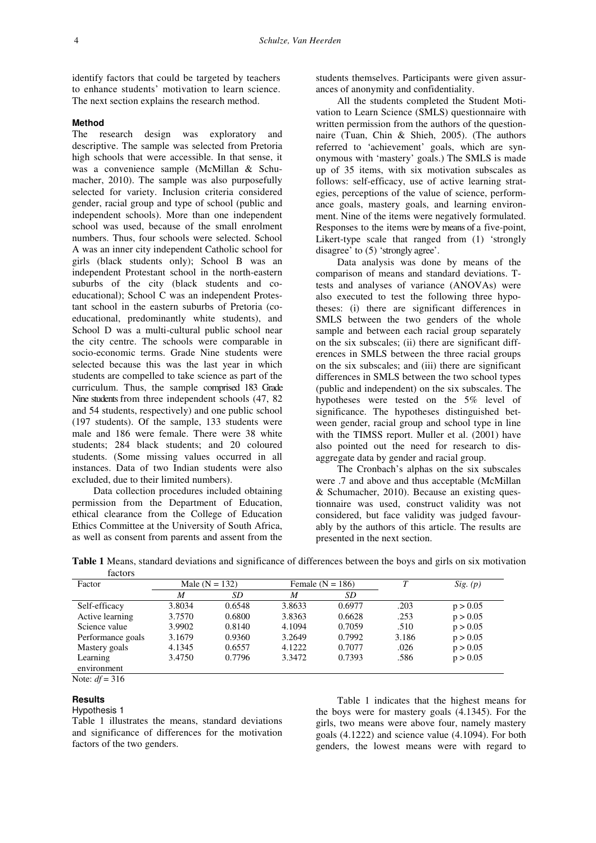identify factors that could be targeted by teachers to enhance students' motivation to learn science. The next section explains the research method.

#### **Method**

The research design was exploratory and descriptive. The sample was selected from Pretoria high schools that were accessible. In that sense, it was a convenience sample (McMillan & Schumacher, 2010). The sample was also purposefully selected for variety. Inclusion criteria considered gender, racial group and type of school (public and independent schools). More than one independent school was used, because of the small enrolment numbers. Thus, four schools were selected. School A was an inner city independent Catholic school for girls (black students only); School B was an independent Protestant school in the north-eastern suburbs of the city (black students and coeducational); School C was an independent Protestant school in the eastern suburbs of Pretoria (coeducational, predominantly white students), and School D was a multi-cultural public school near the city centre. The schools were comparable in socio-economic terms. Grade Nine students were selected because this was the last year in which students are compelled to take science as part of the curriculum. Thus, the sample comprised 183 Grade Nine students from three independent schools (47, 82 and 54 students, respectively) and one public school (197 students). Of the sample, 133 students were male and 186 were female. There were 38 white students; 284 black students; and 20 coloured students. (Some missing values occurred in all instances. Data of two Indian students were also excluded, due to their limited numbers).

Data collection procedures included obtaining permission from the Department of Education, ethical clearance from the College of Education Ethics Committee at the University of South Africa, as well as consent from parents and assent from the students themselves. Participants were given assurances of anonymity and confidentiality.

All the students completed the Student Motivation to Learn Science (SMLS) questionnaire with written permission from the authors of the questionnaire (Tuan, Chin & Shieh, 2005). (The authors referred to 'achievement' goals, which are synonymous with 'mastery' goals.) The SMLS is made up of 35 items, with six motivation subscales as follows: self-efficacy, use of active learning strategies, perceptions of the value of science, performance goals, mastery goals, and learning environment. Nine of the items were negatively formulated. Responses to the items were by means of a five-point, Likert-type scale that ranged from (1) 'strongly disagree' to (5) 'strongly agree'.

Data analysis was done by means of the comparison of means and standard deviations. Ttests and analyses of variance (ANOVAs) were also executed to test the following three hypotheses: (i) there are significant differences in SMLS between the two genders of the whole sample and between each racial group separately on the six subscales; (ii) there are significant differences in SMLS between the three racial groups on the six subscales; and (iii) there are significant differences in SMLS between the two school types (public and independent) on the six subscales. The hypotheses were tested on the 5% level of significance. The hypotheses distinguished between gender, racial group and school type in line with the TIMSS report. Muller et al. (2001) have also pointed out the need for research to disaggregate data by gender and racial group.

The Cronbach's alphas on the six subscales were .7 and above and thus acceptable (McMillan & Schumacher, 2010). Because an existing questionnaire was used, construct validity was not considered, but face validity was judged favourably by the authors of this article. The results are presented in the next section.

| Factor            | Male $(N = 132)$ |        | Female $(N = 186)$ |        |       | Sig. (p) |
|-------------------|------------------|--------|--------------------|--------|-------|----------|
|                   | M                | SD.    | M                  | SD     |       |          |
| Self-efficacy     | 3.8034           | 0.6548 | 3.8633             | 0.6977 | .203  | p > 0.05 |
| Active learning   | 3.7570           | 0.6800 | 3.8363             | 0.6628 | .253  | p > 0.05 |
| Science value     | 3.9902           | 0.8140 | 4.1094             | 0.7059 | .510  | p > 0.05 |
| Performance goals | 3.1679           | 0.9360 | 3.2649             | 0.7992 | 3.186 | p > 0.05 |
| Mastery goals     | 4.1345           | 0.6557 | 4.1222             | 0.7077 | .026  | p > 0.05 |
| Learning          | 3.4750           | 0.7796 | 3.3472             | 0.7393 | .586  | p > 0.05 |
| environment       |                  |        |                    |        |       |          |

**Table 1** Means, standard deviations and significance of differences between the boys and girls on six motivation factors

Note: *df* = 316

### **Results**

# Hypothesis 1

Table 1 illustrates the means, standard deviations and significance of differences for the motivation factors of the two genders.

Table 1 indicates that the highest means for the boys were for mastery goals (4.1345). For the girls, two means were above four, namely mastery goals (4.1222) and science value (4.1094). For both genders, the lowest means were with regard to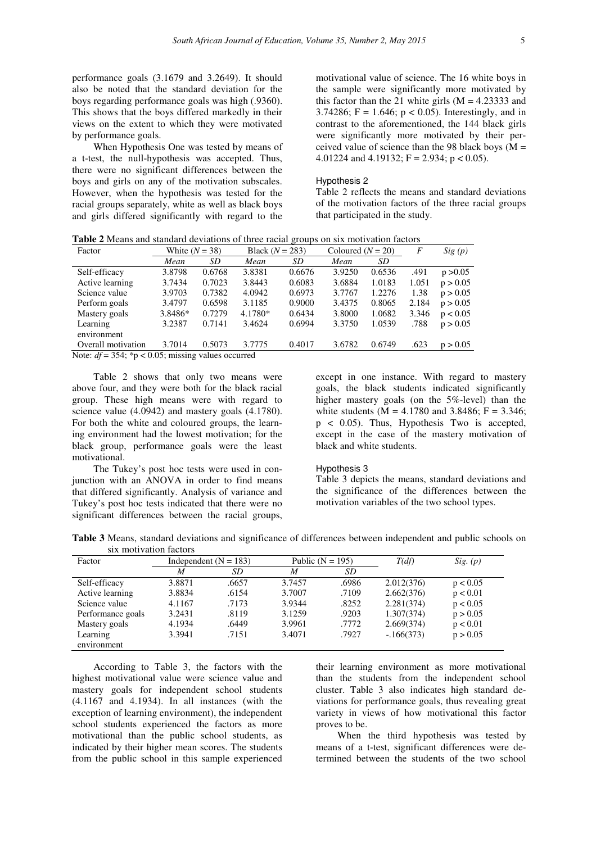performance goals (3.1679 and 3.2649). It should also be noted that the standard deviation for the boys regarding performance goals was high (.9360). This shows that the boys differed markedly in their views on the extent to which they were motivated by performance goals.

When Hypothesis One was tested by means of a t-test, the null-hypothesis was accepted. Thus, there were no significant differences between the boys and girls on any of the motivation subscales. However, when the hypothesis was tested for the racial groups separately, white as well as black boys and girls differed significantly with regard to the motivational value of science. The 16 white boys in the sample were significantly more motivated by this factor than the 21 white girls  $(M = 4.23333$  and 3.74286; F = 1.646;  $p < 0.05$ ). Interestingly, and in contrast to the aforementioned, the 144 black girls were significantly more motivated by their perceived value of science than the 98 black boys  $(M =$ 4.01224 and 4.19132;  $F = 2.934$ ;  $p < 0.05$ ).

### Hypothesis 2

Table 2 reflects the means and standard deviations of the motivation factors of the three racial groups that participated in the study.

**Table 2** Means and standard deviations of three racial groups on six motivation factors

| Factor                                                         | White $(N = 38)$ |        | Black $(N = 283)$ |        | Coloured $(N = 20)$ |        | F     | Sig(p)   |
|----------------------------------------------------------------|------------------|--------|-------------------|--------|---------------------|--------|-------|----------|
|                                                                | Mean             | SD     | Mean              | SD     | Mean                | SD     |       |          |
| Self-efficacy                                                  | 3.8798           | 0.6768 | 3.8381            | 0.6676 | 3.9250              | 0.6536 | .491  | p > 0.05 |
| Active learning                                                | 3.7434           | 0.7023 | 3.8443            | 0.6083 | 3.6884              | 1.0183 | 1.051 | p > 0.05 |
| Science value                                                  | 3.9703           | 0.7382 | 4.0942            | 0.6973 | 3.7767              | 1.2276 | 1.38  | p > 0.05 |
| Perform goals                                                  | 3.4797           | 0.6598 | 3.1185            | 0.9000 | 3.4375              | 0.8065 | 2.184 | p > 0.05 |
| Mastery goals                                                  | 3.8486*          | 0.7279 | 4.1780*           | 0.6434 | 3.8000              | 1.0682 | 3.346 | p < 0.05 |
| Learning                                                       | 3.2387           | 0.7141 | 3.4624            | 0.6994 | 3.3750              | 1.0539 | .788  | p > 0.05 |
| environment                                                    |                  |        |                   |        |                     |        |       |          |
| Overall motivation                                             | 3.7014           | 0.5073 | 3.7775            | 0.4017 | 3.6782              | 0.6749 | .623  | p > 0.05 |
| Note: $df = 354 \cdot$ *n $\ge 0.05$ ; missing values occurred |                  |        |                   |        |                     |        |       |          |

Note:  $df = 354$ ; \*p < 0.05; missing values occurred

Table 2 shows that only two means were above four, and they were both for the black racial group. These high means were with regard to science value (4.0942) and mastery goals (4.1780). For both the white and coloured groups, the learning environment had the lowest motivation; for the black group, performance goals were the least motivational.

The Tukey's post hoc tests were used in conjunction with an ANOVA in order to find means that differed significantly. Analysis of variance and Tukey's post hoc tests indicated that there were no significant differences between the racial groups,

except in one instance. With regard to mastery goals, the black students indicated significantly higher mastery goals (on the 5%-level) than the white students ( $\dot{M} = 4.1780$  and 3.8486; F = 3.346; p < 0.05). Thus, Hypothesis Two is accepted, except in the case of the mastery motivation of black and white students.

#### Hypothesis 3

Table 3 depicts the means, standard deviations and the significance of the differences between the motivation variables of the two school types.

**Table 3** Means, standard deviations and significance of differences between independent and public schools on six motivation factors

| Factor            | Independent ( $N = 183$ ) |       | Public $(N = 195)$ |       | T(df)       | Sig. (p) |
|-------------------|---------------------------|-------|--------------------|-------|-------------|----------|
|                   | M                         | SD    | M                  | SD.   |             |          |
| Self-efficacy     | 3.8871                    | .6657 | 3.7457             | .6986 | 2.012(376)  | p < 0.05 |
| Active learning   | 3.8834                    | .6154 | 3.7007             | .7109 | 2.662(376)  | p < 0.01 |
| Science value     | 4.1167                    | .7173 | 3.9344             | .8252 | 2.281(374)  | p < 0.05 |
| Performance goals | 3.2431                    | .8119 | 3.1259             | .9203 | 1.307(374)  | p > 0.05 |
| Mastery goals     | 4.1934                    | .6449 | 3.9961             | .7772 | 2.669(374)  | p < 0.01 |
| Learning          | 3.3941                    | .7151 | 3.4071             | .7927 | $-166(373)$ | p > 0.05 |
| environment       |                           |       |                    |       |             |          |

According to Table 3, the factors with the highest motivational value were science value and mastery goals for independent school students (4.1167 and 4.1934). In all instances (with the exception of learning environment), the independent school students experienced the factors as more motivational than the public school students, as indicated by their higher mean scores. The students from the public school in this sample experienced

their learning environment as more motivational than the students from the independent school cluster. Table 3 also indicates high standard deviations for performance goals, thus revealing great variety in views of how motivational this factor proves to be.

When the third hypothesis was tested by means of a t-test, significant differences were determined between the students of the two school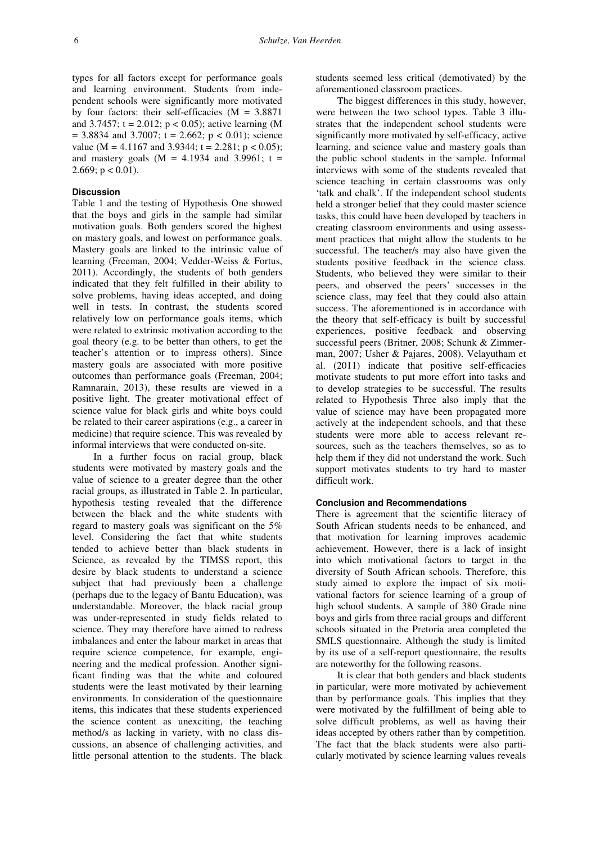types for all factors except for performance goals and learning environment. Students from independent schools were significantly more motivated by four factors: their self-efficacies  $(M = 3.8871)$ and 3.7457;  $t = 2.012$ ;  $p < 0.05$ ); active learning (M  $= 3.8834$  and 3.7007; t = 2.662; p < 0.01); science value (M = 4.1167 and 3.9344; t = 2.281; p < 0.05); and mastery goals ( $M = 4.1934$  and 3.9961; t = 2.669;  $p < 0.01$ ).

# **Discussion**

Table 1 and the testing of Hypothesis One showed that the boys and girls in the sample had similar motivation goals. Both genders scored the highest on mastery goals, and lowest on performance goals. Mastery goals are linked to the intrinsic value of learning (Freeman, 2004; Vedder-Weiss & Fortus, 2011). Accordingly, the students of both genders indicated that they felt fulfilled in their ability to solve problems, having ideas accepted, and doing well in tests. In contrast, the students scored relatively low on performance goals items, which were related to extrinsic motivation according to the goal theory (e.g. to be better than others, to get the teacher's attention or to impress others). Since mastery goals are associated with more positive outcomes than performance goals (Freeman, 2004; Ramnarain, 2013), these results are viewed in a positive light. The greater motivational effect of science value for black girls and white boys could be related to their career aspirations (e.g., a career in medicine) that require science. This was revealed by informal interviews that were conducted on-site.

In a further focus on racial group, black students were motivated by mastery goals and the value of science to a greater degree than the other racial groups, as illustrated in Table 2. In particular, hypothesis testing revealed that the difference between the black and the white students with regard to mastery goals was significant on the 5% level. Considering the fact that white students tended to achieve better than black students in Science, as revealed by the TIMSS report, this desire by black students to understand a science subject that had previously been a challenge (perhaps due to the legacy of Bantu Education), was understandable. Moreover, the black racial group was under-represented in study fields related to science. They may therefore have aimed to redress imbalances and enter the labour market in areas that require science competence, for example, engineering and the medical profession. Another significant finding was that the white and coloured students were the least motivated by their learning environments. In consideration of the questionnaire items, this indicates that these students experienced the science content as unexciting, the teaching method/s as lacking in variety, with no class discussions, an absence of challenging activities, and little personal attention to the students. The black students seemed less critical (demotivated) by the aforementioned classroom practices.

The biggest differences in this study, however, were between the two school types. Table 3 illustrates that the independent school students were significantly more motivated by self-efficacy, active learning, and science value and mastery goals than the public school students in the sample. Informal interviews with some of the students revealed that science teaching in certain classrooms was only 'talk and chalk'. If the independent school students held a stronger belief that they could master science tasks, this could have been developed by teachers in creating classroom environments and using assessment practices that might allow the students to be successful. The teacher/s may also have given the students positive feedback in the science class. Students, who believed they were similar to their peers, and observed the peers' successes in the science class, may feel that they could also attain success. The aforementioned is in accordance with the theory that self-efficacy is built by successful experiences, positive feedback and observing successful peers (Britner, 2008; Schunk & Zimmerman, 2007; Usher & Pajares, 2008). Velayutham et al. (2011) indicate that positive self-efficacies motivate students to put more effort into tasks and to develop strategies to be successful. The results related to Hypothesis Three also imply that the value of science may have been propagated more actively at the independent schools, and that these students were more able to access relevant resources, such as the teachers themselves, so as to help them if they did not understand the work. Such support motivates students to try hard to master difficult work.

### **Conclusion and Recommendations**

There is agreement that the scientific literacy of South African students needs to be enhanced, and that motivation for learning improves academic achievement. However, there is a lack of insight into which motivational factors to target in the diversity of South African schools. Therefore, this study aimed to explore the impact of six motivational factors for science learning of a group of high school students. A sample of 380 Grade nine boys and girls from three racial groups and different schools situated in the Pretoria area completed the SMLS questionnaire. Although the study is limited by its use of a self-report questionnaire, the results are noteworthy for the following reasons.

It is clear that both genders and black students in particular, were more motivated by achievement than by performance goals. This implies that they were motivated by the fulfillment of being able to solve difficult problems, as well as having their ideas accepted by others rather than by competition. The fact that the black students were also particularly motivated by science learning values reveals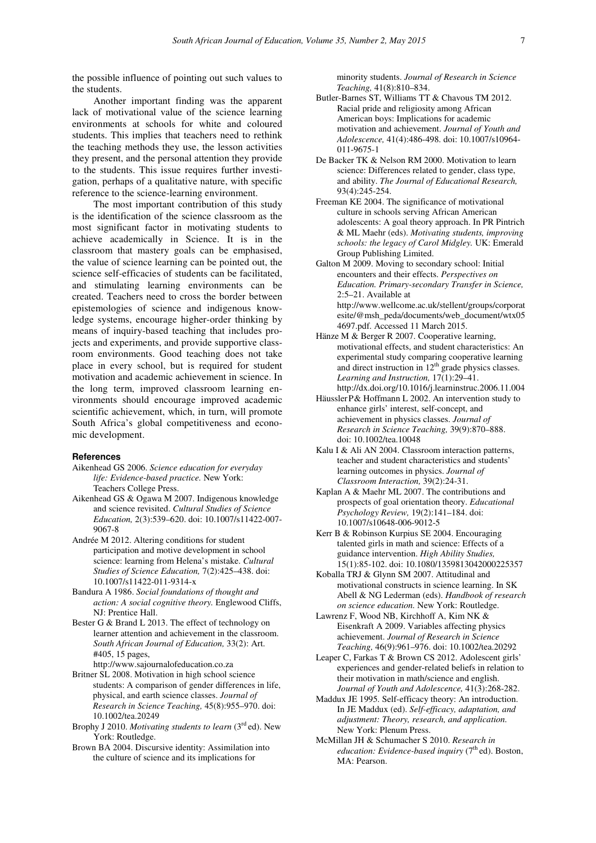the possible influence of pointing out such values to the students.

Another important finding was the apparent lack of motivational value of the science learning environments at schools for white and coloured students. This implies that teachers need to rethink the teaching methods they use, the lesson activities they present, and the personal attention they provide to the students. This issue requires further investigation, perhaps of a qualitative nature, with specific reference to the science-learning environment.

The most important contribution of this study is the identification of the science classroom as the most significant factor in motivating students to achieve academically in Science. It is in the classroom that mastery goals can be emphasised, the value of science learning can be pointed out, the science self-efficacies of students can be facilitated, and stimulating learning environments can be created. Teachers need to cross the border between epistemologies of science and indigenous knowledge systems, encourage higher-order thinking by means of inquiry-based teaching that includes projects and experiments, and provide supportive classroom environments. Good teaching does not take place in every school, but is required for student motivation and academic achievement in science. In the long term, improved classroom learning environments should encourage improved academic scientific achievement, which, in turn, will promote South Africa's global competitiveness and economic development.

#### **References**

- Aikenhead GS 2006. *Science education for everyday life: Evidence-based practice.* New York: Teachers College Press.
- Aikenhead GS & Ogawa M 2007. Indigenous knowledge and science revisited. *Cultural Studies of Science Education,* 2(3):539–620. doi: 10.1007/s11422-007- 9067-8
- Andrée M 2012. Altering conditions for student participation and motive development in school science: learning from Helena's mistake. *Cultural Studies of Science Education,* 7(2):425–438. doi: 10.1007/s11422-011-9314-x
- Bandura A 1986. *Social foundations of thought and action: A social cognitive theory.* Englewood Cliffs, NJ: Prentice Hall.
- Bester G & Brand L 2013. The effect of technology on learner attention and achievement in the classroom. *South African Journal of Education,* 33(2): Art. #405, 15 pages,

http://www.sajournalofeducation.co.za

- Britner SL 2008. Motivation in high school science students: A comparison of gender differences in life, physical, and earth science classes. *Journal of Research in Science Teaching,* 45(8):955–970. doi: 10.1002/tea.20249
- Brophy J 2010. *Motivating students to learn* (3<sup>rd</sup> ed). New York: Routledge.

Brown BA 2004. Discursive identity: Assimilation into the culture of science and its implications for

minority students. *Journal of Research in Science Teaching,* 41(8):810–834.

- Butler-Barnes ST, Williams TT & Chavous TM 2012. Racial pride and religiosity among African American boys: Implications for academic motivation and achievement. *Journal of Youth and Adolescence,* 41(4):486-498. doi: 10.1007/s10964- 011-9675-1
- De Backer TK & Nelson RM 2000. Motivation to learn science: Differences related to gender, class type, and ability. *The Journal of Educational Research,*  93(4):245-254.
- Freeman KE 2004. The significance of motivational culture in schools serving African American adolescents: A goal theory approach. In PR Pintrich & ML Maehr (eds). *Motivating students, improving schools: the legacy of Carol Midgley.* UK: Emerald Group Publishing Limited.
- Galton M 2009. Moving to secondary school: Initial encounters and their effects. *Perspectives on Education. Primary-secondary Transfer in Science,*  2:5–21. Available at http://www.wellcome.ac.uk/stellent/groups/corporat esite/@msh\_peda/documents/web\_document/wtx05
- 4697.pdf. Accessed 11 March 2015. Hänze M & Berger R 2007. Cooperative learning, motivational effects, and student characteristics: An experimental study comparing cooperative learning and direct instruction in  $12<sup>th</sup>$  grade physics classes. *Learning and Instruction,* 17(1):29–41. http://dx.doi.org/10.1016/j.learninstruc.2006.11.004
- Häussler P& Hoffmann L 2002. An intervention study to enhance girls' interest, self-concept, and achievement in physics classes. *Journal of Research in Science Teaching,* 39(9):870–888. doi: 10.1002/tea.10048
- Kalu I & Ali AN 2004. Classroom interaction patterns, teacher and student characteristics and students' learning outcomes in physics. *Journal of Classroom Interaction,* 39(2):24-31.
- Kaplan A & Maehr ML 2007. The contributions and prospects of goal orientation theory. *Educational Psychology Review,* 19(2):141–184. doi: 10.1007/s10648-006-9012-5
- Kerr B & Robinson Kurpius SE 2004. Encouraging talented girls in math and science: Effects of a guidance intervention. *High Ability Studies,*  15(1):85-102. doi: 10.1080/1359813042000225357
- Koballa TRJ & Glynn SM 2007. Attitudinal and motivational constructs in science learning. In SK Abell & NG Lederman (eds). *Handbook of research on science education.* New York: Routledge.
- Lawrenz F, Wood NB, Kirchhoff A, Kim NK & Eisenkraft A 2009. Variables affecting physics achievement. *Journal of Research in Science Teaching,* 46(9):961–976. doi: 10.1002/tea.20292
- Leaper C, Farkas T & Brown CS 2012. Adolescent girls' experiences and gender-related beliefs in relation to their motivation in math/science and english. *Journal of Youth and Adolescence,* 41(3):268-282.
- Maddux JE 1995. Self-efficacy theory: An introduction. In JE Maddux (ed). *Self-efficacy, adaptation, and adjustment: Theory, research, and application.*  New York: Plenum Press.
- McMillan JH & Schumacher S 2010. *Research in education: Evidence-based inquiry* (7<sup>th</sup> ed). Boston, MA: Pearson.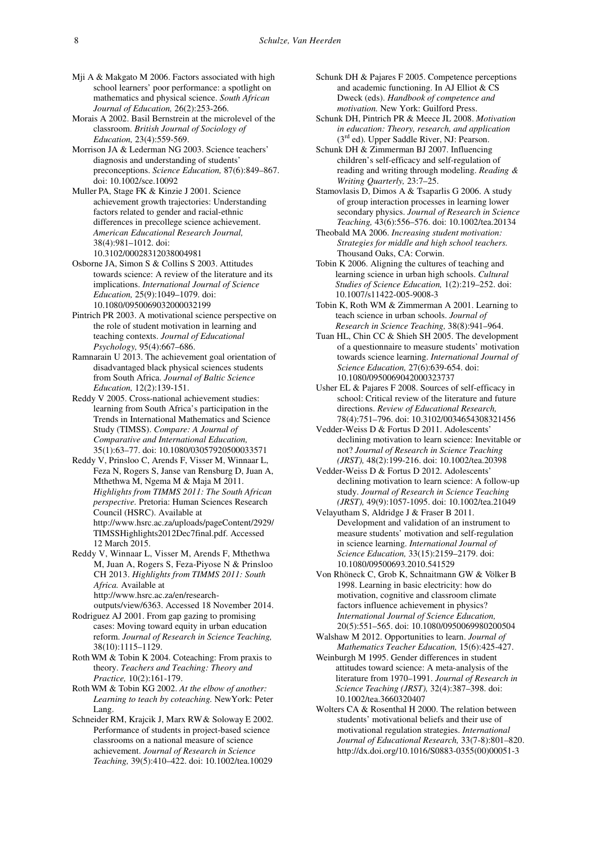- Mji A & Makgato M 2006. Factors associated with high school learners' poor performance: a spotlight on mathematics and physical science. *South African Journal of Education,* 26(2):253-266.
- Morais A 2002. Basil Bernstrein at the microlevel of the classroom. *British Journal of Sociology of Education,* 23(4):559-569.
- Morrison JA & Lederman NG 2003. Science teachers' diagnosis and understanding of students' preconceptions. *Science Education,* 87(6):849–867. doi: 10.1002/sce.10092
- Muller PA, Stage FK & Kinzie J 2001. Science achievement growth trajectories: Understanding factors related to gender and racial-ethnic differences in precollege science achievement. *American Educational Research Journal,* 38(4):981–1012. doi: 10.3102/00028312038004981
- Osborne JA, Simon S & Collins S 2003. Attitudes towards science: A review of the literature and its implications. *International Journal of Science Education,* 25(9):1049–1079. doi: 10.1080/0950069032000032199
- Pintrich PR 2003. A motivational science perspective on the role of student motivation in learning and teaching contexts. *Journal of Educational Psychology,* 95(4):667–686.
- Ramnarain U 2013. The achievement goal orientation of disadvantaged black physical sciences students from South Africa. *Journal of Baltic Science Education,* 12(2):139-151.
- Reddy V 2005. Cross-national achievement studies: learning from South Africa's participation in the Trends in International Mathematics and Science Study (TIMSS). *Compare: A Journal of Comparative and International Education,*  35(1):63–77. doi: 10.1080/03057920500033571
- Reddy V, Prinsloo C, Arends F, Visser M, Winnaar L, Feza N, Rogers S, Janse van Rensburg D, Juan A, Mthethwa M, Ngema M & Maja M 2011. *Highlights from TIMMS 2011: The South African perspective.* Pretoria: Human Sciences Research Council (HSRC). Available at http://www.hsrc.ac.za/uploads/pageContent/2929/ TIMSSHighlights2012Dec7final.pdf. Accessed 12 March 2015.
- Reddy V, Winnaar L, Visser M, Arends F, Mthethwa M, Juan A, Rogers S, Feza-Piyose N & Prinsloo CH 2013. *Highlights from TIMMS 2011: South Africa.* Available at http://www.hsrc.ac.za/en/research-
- outputs/view/6363. Accessed 18 November 2014. Rodriguez AJ 2001. From gap gazing to promising
- cases: Moving toward equity in urban education reform. *Journal of Research in Science Teaching,*  38(10):1115–1129.
- Roth WM & Tobin K 2004. Coteaching: From praxis to theory. *Teachers and Teaching: Theory and Practice,* 10(2):161-179.
- Roth WM & Tobin KG 2002. *At the elbow of another: Learning to teach by coteaching.* NewYork: Peter Lang.
- Schneider RM, Krajcik J, Marx RW & Soloway E 2002. Performance of students in project-based science classrooms on a national measure of science achievement. *Journal of Research in Science Teaching,* 39(5):410–422. doi: 10.1002/tea.10029
- Schunk DH & Pajares F 2005. Competence perceptions and academic functioning. In AJ Elliot & CS Dweck (eds). *Handbook of competence and motivation.* New York: Guilford Press.
- Schunk DH, Pintrich PR & Meece JL 2008. *Motivation in education: Theory, research, and application*  (3rd ed). Upper Saddle River, NJ: Pearson.
- Schunk DH & Zimmerman BJ 2007. Influencing children's self-efficacy and self-regulation of reading and writing through modeling. *Reading & Writing Quarterly,* 23:7–25.
- Stamovlasis D, Dimos A & Tsaparlis G 2006. A study of group interaction processes in learning lower secondary physics. *Journal of Research in Science Teaching,* 43(6):556–576. doi: 10.1002/tea.20134
- Theobald MA 2006. *Increasing student motivation: Strategies for middle and high school teachers.*  Thousand Oaks, CA: Corwin.
- Tobin K 2006. Aligning the cultures of teaching and learning science in urban high schools. *Cultural Studies of Science Education,* 1(2):219–252. doi: 10.1007/s11422-005-9008-3
- Tobin K, Roth WM & Zimmerman A 2001. Learning to teach science in urban schools. *Journal of Research in Science Teaching,* 38(8):941–964.
- Tuan HL, Chin CC & Shieh SH 2005. The development of a questionnaire to measure students' motivation towards science learning. *International Journal of Science Education,* 27(6):639-654. doi: 10.1080/0950069042000323737
- Usher EL & Pajares F 2008. Sources of self-efficacy in school: Critical review of the literature and future directions. *Review of Educational Research,*  78(4):751–796. doi: 10.3102/0034654308321456
- Vedder-Weiss D & Fortus D 2011. Adolescents' declining motivation to learn science: Inevitable or not? *Journal of Research in Science Teaching (JRST),* 48(2):199-216. doi: 10.1002/tea.20398
- Vedder-Weiss D & Fortus D 2012. Adolescents' declining motivation to learn science: A follow-up study. *Journal of Research in Science Teaching (JRST),* 49(9):1057-1095. doi: 10.1002/tea.21049
- Velayutham S, Aldridge J & Fraser B 2011. Development and validation of an instrument to measure students' motivation and self-regulation in science learning. *International Journal of Science Education,* 33(15):2159–2179. doi: 10.1080/09500693.2010.541529
- Von Rhöneck C, Grob K, Schnaitmann GW & Völker B 1998. Learning in basic electricity: how do motivation, cognitive and classroom climate factors influence achievement in physics? *International Journal of Science Education,*  20(5):551–565. doi: 10.1080/0950069980200504
- Walshaw M 2012. Opportunities to learn. *Journal of Mathematics Teacher Education,* 15(6):425-427.
- Weinburgh M 1995. Gender differences in student attitudes toward science: A meta-analysis of the literature from 1970–1991. *Journal of Research in Science Teaching (JRST),* 32(4):387–398. doi: 10.1002/tea.3660320407
- Wolters CA & Rosenthal H 2000. The relation between students' motivational beliefs and their use of motivational regulation strategies. *International Journal of Educational Research,* 33(7-8):801–820. http://dx.doi.org/10.1016/S0883-0355(00)00051-3